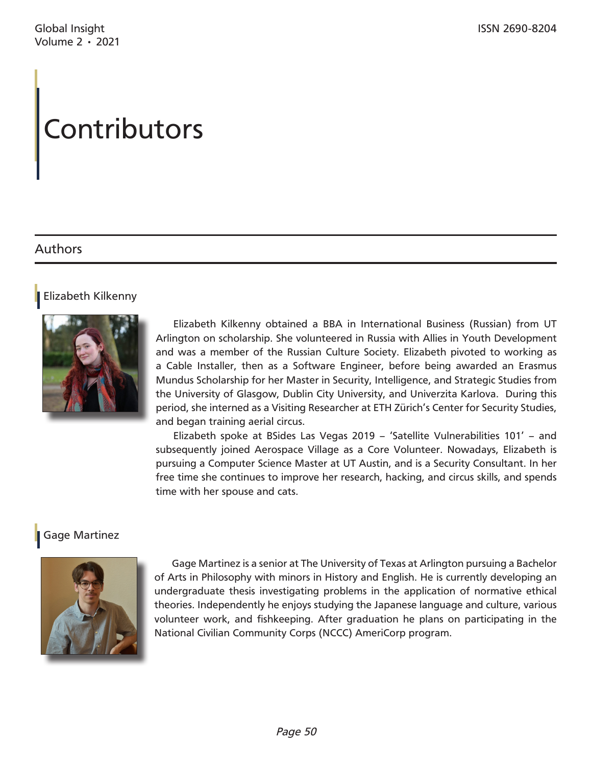# **Contributors**

# Authors

### Elizabeth Kilkenny



Elizabeth Kilkenny obtained a BBA in International Business (Russian) from UT Arlington on scholarship. She volunteered in Russia with Allies in Youth Development and was a member of the Russian Culture Society. Elizabeth pivoted to working as a Cable Installer, then as a Software Engineer, before being awarded an Erasmus Mundus Scholarship for her Master in Security, Intelligence, and Strategic Studies from the University of Glasgow, Dublin City University, and Univerzita Karlova. During this period, she interned as a Visiting Researcher at ETH Zürich's Center for Security Studies, and began training aerial circus.

Elizabeth spoke at BSides Las Vegas 2019 – 'Satellite Vulnerabilities 101' – and subsequently joined Aerospace Village as a Core Volunteer. Nowadays, Elizabeth is pursuing a Computer Science Master at UT Austin, and is a Security Consultant. In her free time she continues to improve her research, hacking, and circus skills, and spends time with her spouse and cats.

## Gage Martinez



Gage Martinez is a senior at The University of Texas at Arlington pursuing a Bachelor of Arts in Philosophy with minors in History and English. He is currently developing an undergraduate thesis investigating problems in the application of normative ethical theories. Independently he enjoys studying the Japanese language and culture, various volunteer work, and fishkeeping. After graduation he plans on participating in the National Civilian Community Corps (NCCC) AmeriCorp program.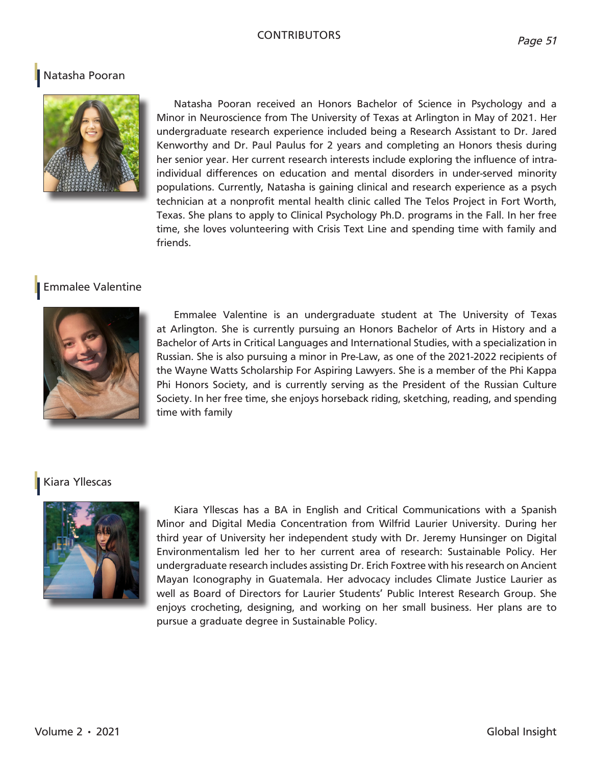#### **CONTRIBUTORS**

### Natasha Pooran



Natasha Pooran received an Honors Bachelor of Science in Psychology and a Minor in Neuroscience from The University of Texas at Arlington in May of 2021. Her undergraduate research experience included being a Research Assistant to Dr. Jared Kenworthy and Dr. Paul Paulus for 2 years and completing an Honors thesis during her senior year. Her current research interests include exploring the influence of intraindividual differences on education and mental disorders in under-served minority populations. Currently, Natasha is gaining clinical and research experience as a psych technician at a nonprofit mental health clinic called The Telos Project in Fort Worth, Texas. She plans to apply to Clinical Psychology Ph.D. programs in the Fall. In her free time, she loves volunteering with Crisis Text Line and spending time with family and friends.

#### Emmalee Valentine



Emmalee Valentine is an undergraduate student at The University of Texas at Arlington. She is currently pursuing an Honors Bachelor of Arts in History and a Bachelor of Arts in Critical Languages and International Studies, with a specialization in Russian. She is also pursuing a minor in Pre-Law, as one of the 2021-2022 recipients of the Wayne Watts Scholarship For Aspiring Lawyers. She is a member of the Phi Kappa Phi Honors Society, and is currently serving as the President of the Russian Culture Society. In her free time, she enjoys horseback riding, sketching, reading, and spending time with family

#### Kiara Yllescas



Kiara Yllescas has a BA in English and Critical Communications with a Spanish Minor and Digital Media Concentration from Wilfrid Laurier University. During her third year of University her independent study with Dr. Jeremy Hunsinger on Digital Environmentalism led her to her current area of research: Sustainable Policy. Her undergraduate research includes assisting Dr. Erich Foxtree with his research on Ancient Mayan Iconography in Guatemala. Her advocacy includes Climate Justice Laurier as well as Board of Directors for Laurier Students' Public Interest Research Group. She enjoys crocheting, designing, and working on her small business. Her plans are to pursue a graduate degree in Sustainable Policy.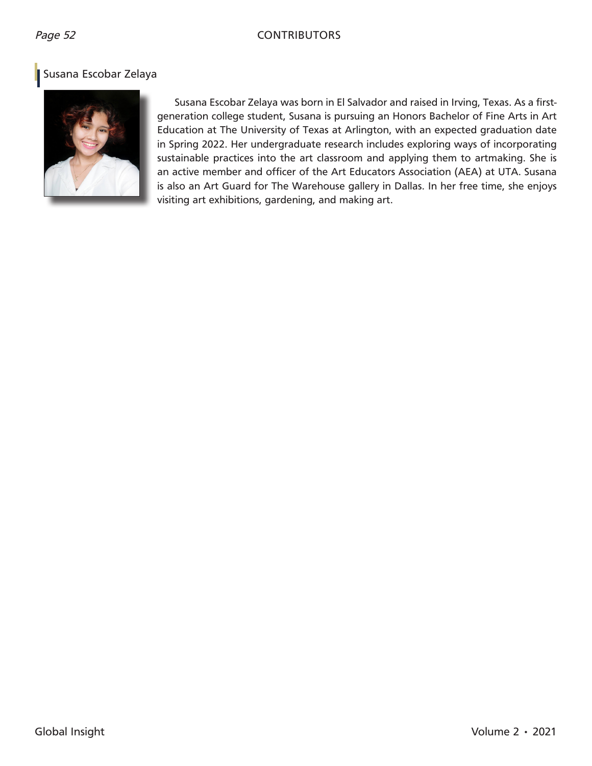## Page 52 CONTRIBUTORS

# Susana Escobar Zelaya



Susana Escobar Zelaya was born in El Salvador and raised in Irving, Texas. As a firstgeneration college student, Susana is pursuing an Honors Bachelor of Fine Arts in Art Education at The University of Texas at Arlington, with an expected graduation date in Spring 2022. Her undergraduate research includes exploring ways of incorporating sustainable practices into the art classroom and applying them to artmaking. She is an active member and officer of the Art Educators Association (AEA) at UTA. Susana is also an Art Guard for The Warehouse gallery in Dallas. In her free time, she enjoys visiting art exhibitions, gardening, and making art.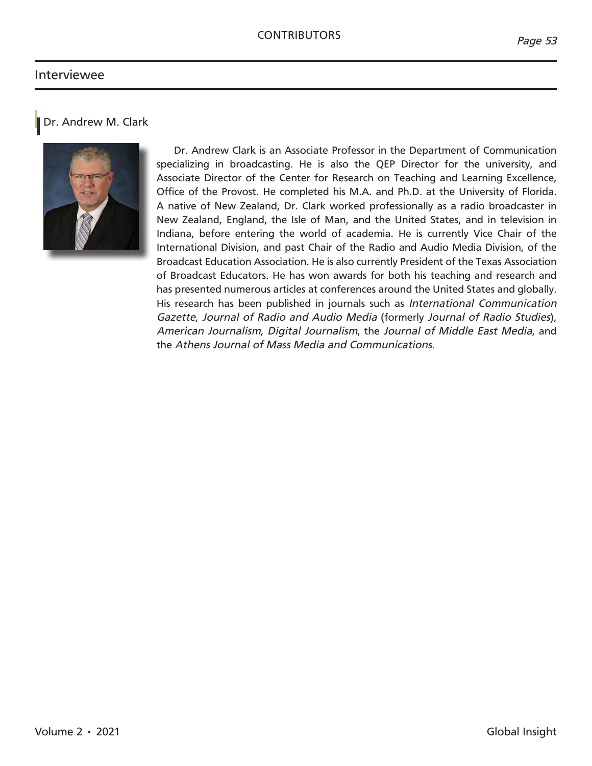#### Interviewee



Dr. Andrew Clark is an Associate Professor in the Department of Communication specializing in broadcasting. He is also the QEP Director for the university, and Associate Director of the Center for Research on Teaching and Learning Excellence, Office of the Provost. He completed his M.A. and Ph.D. at the University of Florida. A native of New Zealand, Dr. Clark worked professionally as a radio broadcaster in New Zealand, England, the Isle of Man, and the United States, and in television in Indiana, before entering the world of academia. He is currently Vice Chair of the International Division, and past Chair of the Radio and Audio Media Division, of the Broadcast Education Association. He is also currently President of the Texas Association of Broadcast Educators. He has won awards for both his teaching and research and has presented numerous articles at conferences around the United States and globally. His research has been published in journals such as *International Communication Gazette*, *Journal of Radio and Audio Media* (formerly *Journal of Radio Studies*), *American Journalism*, *Digital Journalism*, the *Journal of Middle East Media*, and the *Athens Journal of Mass Media and Communications*.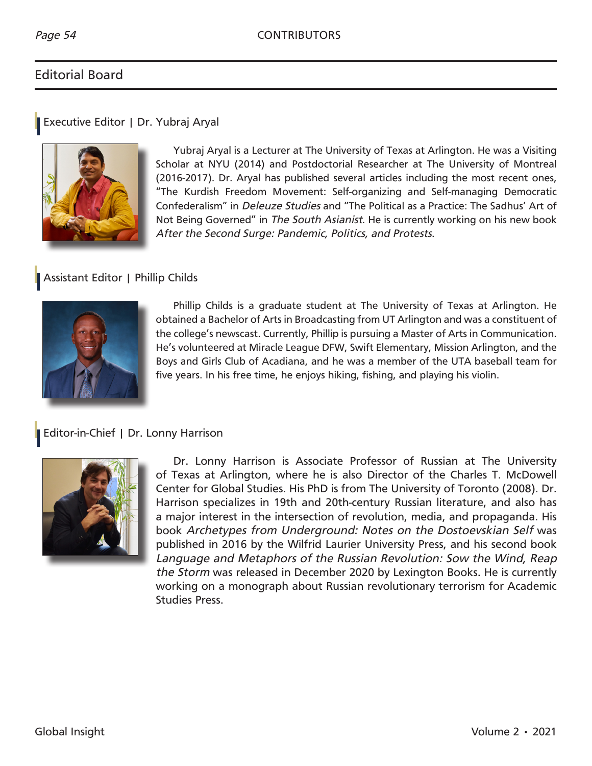# Editorial Board

#### Executive Editor | Dr. Yubraj Aryal



Yubraj Aryal is a Lecturer at The University of Texas at Arlington. He was a Visiting Scholar at NYU (2014) and Postdoctorial Researcher at The University of Montreal (2016-2017). Dr. Aryal has published several articles including the most recent ones, "The Kurdish Freedom Movement: Self-organizing and Self-managing Democratic Confederalism" in *Deleuze Studies* and "The Political as a Practice: The Sadhus' Art of Not Being Governed" in *The South Asianist*. He is currently working on his new book *After the Second Surge: Pandemic, Politics, and Protests*.

## Assistant Editor | Phillip Childs



Phillip Childs is a graduate student at The University of Texas at Arlington. He obtained a Bachelor of Arts in Broadcasting from UT Arlington and was a constituent of the college's newscast. Currently, Phillip is pursuing a Master of Arts in Communication. He's volunteered at Miracle League DFW, Swift Elementary, Mission Arlington, and the Boys and Girls Club of Acadiana, and he was a member of the UTA baseball team for five years. In his free time, he enjoys hiking, fishing, and playing his violin.

## Editor-in-Chief | Dr. Lonny Harrison



Dr. Lonny Harrison is Associate Professor of Russian at The University of Texas at Arlington, where he is also Director of the Charles T. McDowell Center for Global Studies. His PhD is from The University of Toronto (2008). Dr. Harrison specializes in 19th and 20th-century Russian literature, and also has a major interest in the intersection of revolution, media, and propaganda. His book *Archetypes from Underground: Notes on the Dostoevskian Self* was published in 2016 by the Wilfrid Laurier University Press, and his second book *Language and Metaphors of the Russian Revolution: Sow the Wind, Reap the Storm* was released in December 2020 by Lexington Books. He is currently working on a monograph about Russian revolutionary terrorism for Academic Studies Press.